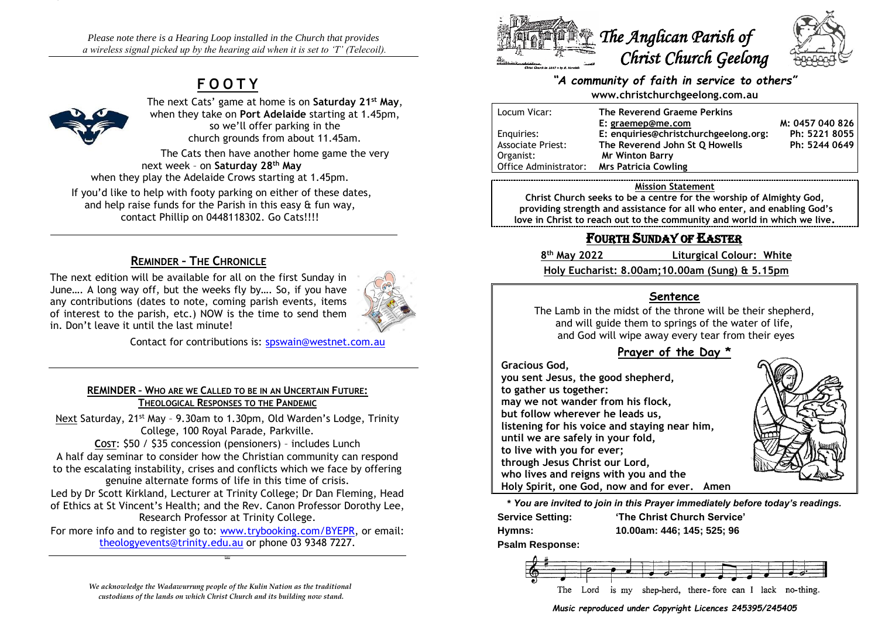*Please note there is a Hearing Loop installed in the Church that provides a wireless signal picked up by the hearing aid when it is set to 'T' (Telecoil).*

# **F O O T Y**



The next Cats' game at home is on **Saturday 21st May**, when they take on **Port Adelaide** starting at 1.45pm, so we'll offer parking in the church grounds from about 11.45am.

The Cats then have another home game the very next week – on **Saturday 28th May** when they play the Adelaide Crows starting at 1.45pm.

If you'd like to help with footy parking on either of these dates, and help raise funds for the Parish in this easy & fun way, contact Phillip on 0448118302. Go Cats!!!!

# **REMINDER – THE CHRONICLE**

The next edition will be available for all on the first Sunday in June…. A long way off, but the weeks fly by…. So, if you have any contributions (dates to note, coming parish events, items of interest to the parish, etc.) NOW is the time to send them in. Don't leave it until the last minute!



Contact for contributions is: [spswain@westnet.com.au](mailto:spswain@westnet.com.au)

#### **REMINDER – WHO ARE WE CALLED TO BE IN AN UNCERTAIN FUTURE: THEOLOGICAL RESPONSES TO THE PANDEMIC**

Next Saturday, 21<sup>st</sup> May - 9.30am to 1.30pm, Old Warden's Lodge, Trinity College, 100 Royal Parade, Parkville.

**COST**: \$50 / \$35 concession (pensioners) – includes Lunch A half day seminar to consider how the Christian community can respond to the escalating instability, crises and conflicts which we face by offering genuine alternate forms of life in this time of crisis.

Led by Dr Scott Kirkland, Lecturer at Trinity College; Dr Dan Fleming, Head of Ethics at St Vincent's Health; and the Rev. Canon Professor Dorothy Lee, Research Professor at Trinity College.

For more info and to register go to: [www.trybooking.com/BYEPR,](http://www.trybooking.com/BYEPR) or email: [theologyevents@trinity.edu.au](mailto:theologyevents@trinity.edu.au) or phone 03 9348 7227.

**CHRIST**

*We acknowledge the Wadawurrung people of the Kulin Nation as the traditional custodians of the lands on which Christ Church and its building now stand.*





#### *"A community of faith in service to others"* **www.christchurchgeelong.com.au**

| Locum Vicar:             | The Reverend Graeme Perkins           |                 |
|--------------------------|---------------------------------------|-----------------|
|                          | E: graemep@me.com                     | M: 0457 040 826 |
| Enguiries:               | E: enquiries@christchurchgeelong.org: | Ph: 5221 8055   |
| <b>Associate Priest:</b> | The Reverend John St Q Howells        | Ph: 5244 0649   |
| Organist:                | <b>Mr Winton Barry</b>                |                 |
| Office Administrator:    | <b>Mrs Patricia Cowling</b>           |                 |

#### **Mission Statement**

**Christ Church seeks to be a centre for the worship of Almighty God, providing strength and assistance for all who enter, and enabling God's love in Christ to reach out to the community and world in which we live.**

# FOURTH SUNDAY OF EASTER

8<sup>th</sup> May 2022

**th May 2022 Liturgical Colour: White**

**Holy Eucharist: 8.00am;10.00am (Sung) & 5.15pm**

# **Sentence**

The Lamb in the midst of the throne will be their shepherd, and will guide them to springs of the water of life, and God will wipe away every tear from their eyes

# **Prayer of the Day \***

**Gracious God,**

**you sent Jesus, the good shepherd, to gather us together: may we not wander from his flock, but follow wherever he leads us, listening for his voice and staying near him, until we are safely in your fold, to live with you for ever; through Jesus Christ our Lord, who lives and reigns with you and the Holy Spirit, one God, now and for ever. Amen**

**\*** *You are invited to join in this Prayer immediately before today's readings.*

**Service Setting: 'The Christ Church Service' Hymns: 10.00am: 446; 145; 525; 96**

**Psalm Response:** 



#### *Music reproduced under Copyright Licences 245395/245405*